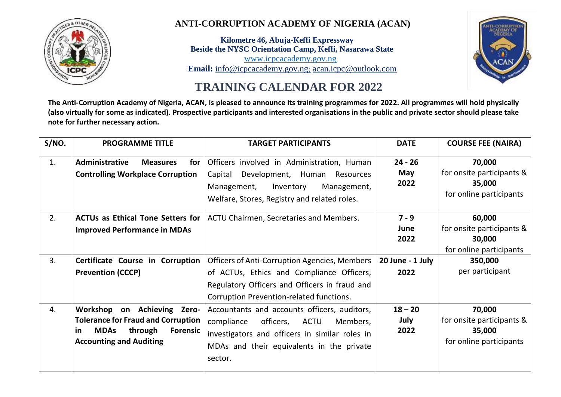

# **ANTI-CORRUPTION ACADEMY OF NIGERIA (ACAN)**

 **Kilometre 46, Abuja-Keffi Expressway Beside the NYSC Orientation Camp, Keffi, Nasarawa State** [www.icpcacademy.gov.ng](http://www.icpcacademy.gov.ng/)  **Email:** [info@icpcacademy.gov.ng](mailto:info@icpcacademy.gov.ng); [acan.icpc@outlook.com](mailto:acan.icpc@outlook.com)



# **TRAINING CALENDAR FOR 2022**

**The Anti-Corruption Academy of Nigeria, ACAN, is pleased to announce its training programmes for 2022. All programmes will hold physically (also virtually for some as indicated). Prospective participants and interested organisations in the public and private sector should please take note for further necessary action.**

| S/NO. | <b>PROGRAMME TITLE</b>                                                                                                       | <b>TARGET PARTICIPANTS</b>                                                                                                                                                                     | <b>DATE</b>               | <b>COURSE FEE (NAIRA)</b>                                                |
|-------|------------------------------------------------------------------------------------------------------------------------------|------------------------------------------------------------------------------------------------------------------------------------------------------------------------------------------------|---------------------------|--------------------------------------------------------------------------|
| 1.    | Administrative<br>for<br><b>Measures</b><br><b>Controlling Workplace Corruption</b>                                          | Officers involved in Administration, Human<br>Development, Human Resources<br>Capital<br>Inventory<br>Management,<br>Management,<br>Welfare, Stores, Registry and related roles.               | $24 - 26$<br>May<br>2022  | 70,000<br>for onsite participants &<br>35,000<br>for online participants |
| 2.    | <b>ACTUs as Ethical Tone Setters for</b><br><b>Improved Performance in MDAs</b>                                              | ACTU Chairmen, Secretaries and Members.                                                                                                                                                        | $7 - 9$<br>June<br>2022   | 60,000<br>for onsite participants &<br>30,000<br>for online participants |
| 3.    | Certificate Course in Corruption<br><b>Prevention (CCCP)</b>                                                                 | <b>Officers of Anti-Corruption Agencies, Members</b><br>of ACTUs, Ethics and Compliance Officers,<br>Regulatory Officers and Officers in fraud and<br>Corruption Prevention-related functions. | 20 June - 1 July<br>2022  | 350,000<br>per participant                                               |
| 4.    | Workshop on Achieving Zero-<br><b>Tolerance for Fraud and Corruption</b><br><b>MDAs</b><br><b>Forensic</b><br>through<br>in. | Accountants and accounts officers, auditors,<br>compliance<br>officers,<br>ACTU<br>Members,<br>investigators and officers in similar roles in                                                  | $18 - 20$<br>July<br>2022 | 70,000<br>for onsite participants &<br>35,000<br>for online participants |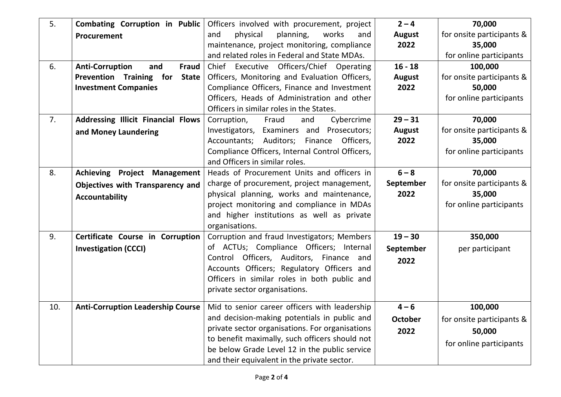| 5.  | <b>Combating Corruption in Public</b>         | Officers involved with procurement, project     | $2 - 4$        | 70,000                    |
|-----|-----------------------------------------------|-------------------------------------------------|----------------|---------------------------|
|     | Procurement                                   | physical<br>planning,<br>works<br>and<br>and    | <b>August</b>  | for onsite participants & |
|     |                                               | maintenance, project monitoring, compliance     | 2022           | 35,000                    |
|     |                                               | and related roles in Federal and State MDAs.    |                | for online participants   |
| 6.  | <b>Anti-Corruption</b><br>and<br><b>Fraud</b> | Chief Executive Officers/Chief Operating        | $16 - 18$      | 100,000                   |
|     | Prevention Training for<br><b>State</b>       | Officers, Monitoring and Evaluation Officers,   | <b>August</b>  | for onsite participants & |
|     | <b>Investment Companies</b>                   | Compliance Officers, Finance and Investment     | 2022           | 50,000                    |
|     |                                               | Officers, Heads of Administration and other     |                | for online participants   |
|     |                                               | Officers in similar roles in the States.        |                |                           |
| 7.  | <b>Addressing Illicit Financial Flows</b>     | Cybercrime<br>Corruption,<br>Fraud<br>and       | $29 - 31$      | 70,000                    |
|     | and Money Laundering                          | Investigators, Examiners and Prosecutors;       | <b>August</b>  | for onsite participants & |
|     |                                               | Accountants; Auditors; Finance Officers,        | 2022           | 35,000                    |
|     |                                               | Compliance Officers, Internal Control Officers, |                | for online participants   |
|     |                                               | and Officers in similar roles.                  |                |                           |
| 8.  | <b>Achieving Project Management</b>           | Heads of Procurement Units and officers in      | $6 - 8$        | 70,000                    |
|     | Objectives with Transparency and              | charge of procurement, project management,      | September      | for onsite participants & |
|     | <b>Accountability</b>                         | physical planning, works and maintenance,       | 2022           | 35,000                    |
|     |                                               | project monitoring and compliance in MDAs       |                | for online participants   |
|     |                                               | and higher institutions as well as private      |                |                           |
|     |                                               | organisations.                                  |                |                           |
| 9.  | Certificate Course in Corruption              | Corruption and fraud Investigators; Members     | $19 - 30$      | 350,000                   |
|     | <b>Investigation (CCCI)</b>                   | of ACTUs; Compliance Officers; Internal         | September      | per participant           |
|     |                                               | Control Officers, Auditors, Finance and         | 2022           |                           |
|     |                                               | Accounts Officers; Regulatory Officers and      |                |                           |
|     |                                               | Officers in similar roles in both public and    |                |                           |
|     |                                               | private sector organisations.                   |                |                           |
| 10. | <b>Anti-Corruption Leadership Course</b>      | Mid to senior career officers with leadership   | $4 - 6$        | 100,000                   |
|     |                                               | and decision-making potentials in public and    | <b>October</b> | for onsite participants & |
|     |                                               | private sector organisations. For organisations | 2022           | 50,000                    |
|     |                                               | to benefit maximally, such officers should not  |                |                           |
|     |                                               | be below Grade Level 12 in the public service   |                | for online participants   |
|     |                                               | and their equivalent in the private sector.     |                |                           |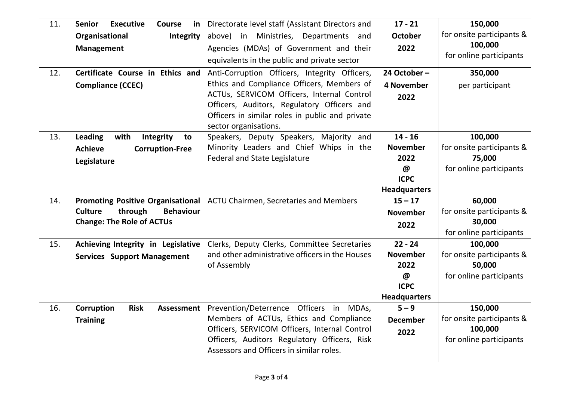| 11. | <b>Senior</b><br><b>Executive</b><br><b>Course</b><br>in | Directorate level staff (Assistant Directors and                                               | $17 - 21$                          | 150,000                   |
|-----|----------------------------------------------------------|------------------------------------------------------------------------------------------------|------------------------------------|---------------------------|
|     | Organisational<br>Integrity                              | above) in Ministries, Departments<br>and                                                       | <b>October</b>                     | for onsite participants & |
|     | <b>Management</b>                                        | Agencies (MDAs) of Government and their                                                        | 2022                               | 100,000                   |
|     |                                                          | equivalents in the public and private sector                                                   |                                    | for online participants   |
| 12. | Certificate Course in Ethics and                         | Anti-Corruption Officers, Integrity Officers,                                                  | 24 October-                        | 350,000                   |
|     | <b>Compliance (CCEC)</b>                                 | Ethics and Compliance Officers, Members of                                                     | 4 November                         | per participant           |
|     |                                                          | ACTUs, SERVICOM Officers, Internal Control                                                     | 2022                               |                           |
|     |                                                          | Officers, Auditors, Regulatory Officers and<br>Officers in similar roles in public and private |                                    |                           |
|     |                                                          | sector organisations.                                                                          |                                    |                           |
| 13. | Leading<br>with<br>Integrity<br>to                       | Speakers, Deputy Speakers, Majority and                                                        | $14 - 16$                          | 100,000                   |
|     | <b>Achieve</b><br><b>Corruption-Free</b>                 | Minority Leaders and Chief Whips in the                                                        | <b>November</b>                    | for onsite participants & |
|     | Legislature                                              | <b>Federal and State Legislature</b>                                                           | 2022                               | 75,000                    |
|     |                                                          |                                                                                                | @                                  | for online participants   |
|     |                                                          |                                                                                                | <b>ICPC</b><br><b>Headquarters</b> |                           |
| 14. | <b>Promoting Positive Organisational</b>                 | ACTU Chairmen, Secretaries and Members                                                         | $15 - 17$                          | 60,000                    |
|     | <b>Culture</b><br>through<br><b>Behaviour</b>            |                                                                                                | <b>November</b>                    | for onsite participants & |
|     | <b>Change: The Role of ACTUs</b>                         |                                                                                                | 2022                               | 30,000                    |
|     |                                                          |                                                                                                |                                    | for online participants   |
| 15. | Achieving Integrity in Legislative                       | Clerks, Deputy Clerks, Committee Secretaries                                                   | $22 - 24$                          | 100,000                   |
|     | <b>Services Support Management</b>                       | and other administrative officers in the Houses                                                | <b>November</b>                    | for onsite participants & |
|     |                                                          | of Assembly                                                                                    | 2022                               | 50,000                    |
|     |                                                          |                                                                                                | @<br><b>ICPC</b>                   | for online participants   |
|     |                                                          |                                                                                                | <b>Headquarters</b>                |                           |
| 16. | <b>Risk</b><br>Corruption<br><b>Assessment</b>           | Prevention/Deterrence Officers in MDAs,                                                        | $5 - 9$                            | 150,000                   |
|     | <b>Training</b>                                          | Members of ACTUs, Ethics and Compliance                                                        | <b>December</b>                    | for onsite participants & |
|     |                                                          | Officers, SERVICOM Officers, Internal Control                                                  | 2022                               | 100,000                   |
|     |                                                          | Officers, Auditors Regulatory Officers, Risk                                                   |                                    | for online participants   |
|     |                                                          | Assessors and Officers in similar roles.                                                       |                                    |                           |